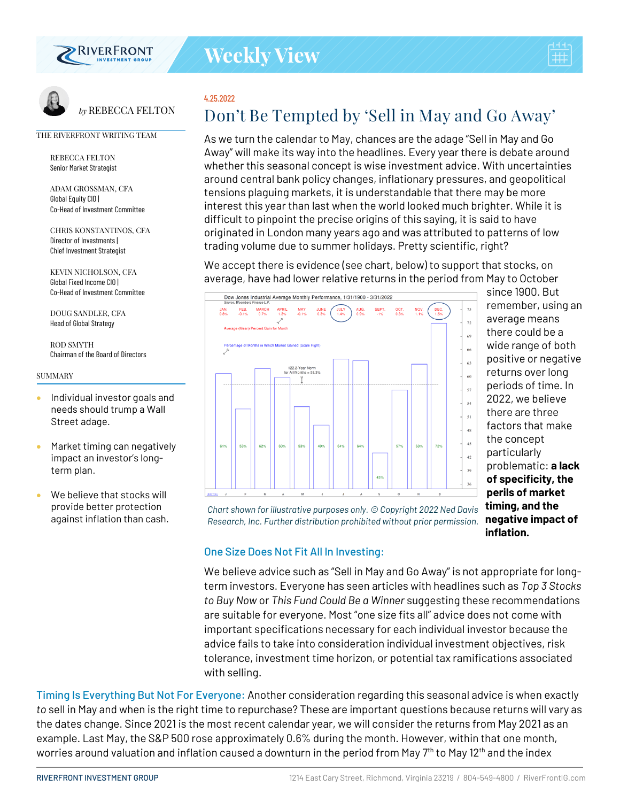

*by* REBECCA FELTON



# 4.25.2022

# **Don't Be Tempted by 'Sell in May and Go Away'**

As we turn the calendar to May, chances are the adage "Sell in May and Go Away" will make its way into the headlines. Every year there is debate around whether this seasonal concept is wise investment advice. With uncertainties around central bank policy changes, inflationary pressures, and geopolitical tensions plaguing markets, it is understandable that there may be more interest this year than last when the world looked much brighter. While it is difficult to pinpoint the precise origins of this saying, it is said to have originated in London many years ago and was attributed to patterns of low trading volume due to summer holidays. Pretty scientific, right?

We accept there is evidence (see chart, below) to support that stocks, on average, have had lower relative returns in the period from May to October



since 1900. But remember, using an average means there could be a wide range of both positive or negative returns over long periods of time. In 2022, we believe there are three factors that make the concept particularly problematic: **a lack of specificity, the perils of market timing, and the negative impact of inflation.**

*Chart shown for illustrative purposes only. © Copyright 2022 Ned Davis Research, Inc. Further distribution prohibited without prior permission.* 

### One Size Does Not Fit All In Investing:

We believe advice such as "Sell in May and Go Away" is not appropriate for longterm investors. Everyone has seen articles with headlines such as *Top 3 Stocks to Buy Now* or *This Fund Could Be a Winner* suggesting these recommendations are suitable for everyone. Most "one size fits all" advice does not come with important specifications necessary for each individual investor because the advice fails to take into consideration individual investment objectives, risk tolerance, investment time horizon, or potential tax ramifications associated with selling.

Timing Is Everything But Not For Everyone: Another consideration regarding this seasonal advice is when exactly *to* sell in May and when is the right time to repurchase? These are important questions because returns will vary as the dates change. Since 2021 is the most recent calendar year, we will consider the returns from May 2021 as an example. Last May, the S&P 500 rose approximately 0.6% during the month. However, within that one month, worries around valuation and inflation caused a downturn in the period from May 7<sup>th</sup> to May 12<sup>th</sup> and the index

# THE RIVERFRONT WRITING TEAM REBECCA FELTON

Senior Market Strategist ADAM GROSSMAN, CFA

Global Equity CIO | Co-Head of Investment Committee

CHRIS KONSTANTINOS, CFA Director of Investments | Chief Investment Strategist

KEVIN NICHOLSON, CFA Global Fixed Income CIO | Co-Head of Investment Committee

DOUG SANDLER, CFA Head of Global Strategy

ROD SMYTH Chairman of the Board of Directors

#### SUMMARY

- Individual investor goals and needs should trump a Wall Street adage.
- Market timing can negatively impact an investor's longterm plan.
- We believe that stocks will provide better protection against inflation than cash.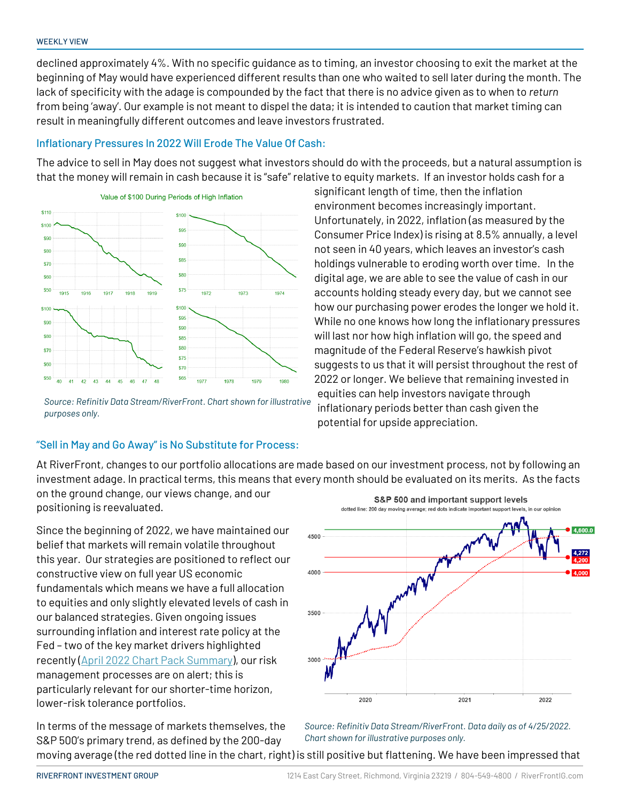declined approximately 4%. With no specific guidance as to timing, an investor choosing to exit the market at the beginning of May would have experienced different results than one who waited to sell later during the month. The lack of specificity with the adage is compounded by the fact that there is no advice given as to when to *return* from being 'away'. Our example is not meant to dispel the data; it is intended to caution that market timing can result in meaningfully different outcomes and leave investors frustrated.

## Inflationary Pressures In 2022 Will Erode The Value Of Cash:

The advice to sell in May does not suggest what investors should do with the proceeds, but a natural assumption is that the money will remain in cash because it is "safe" relative to equity markets. If an investor holds cash for a



*Source: Refinitiv Data Stream/RiverFront. Chart shown for illustrative purposes only.*

# "Sell in May and Go Away" is No Substitute for Process:

Unfortunately, in 2022, inflation (as measured by the Consumer Price Index) is rising at 8.5% annually, a level not seen in 40 years, which leaves an investor's cash holdings vulnerable to eroding worth over time. In the digital age, we are able to see the value of cash in our accounts holding steady every day, but we cannot see how our purchasing power erodes the longer we hold it. While no one knows how long the inflationary pressures will last nor how high inflation will go, the speed and magnitude of the Federal Reserve's hawkish pivot suggests to us that it will persist throughout the rest of 2022 or longer. We believe that remaining invested in equities can help investors navigate through inflationary periods better than cash given the potential for upside appreciation.

significant length of time, then the inflation environment becomes increasingly important.

At RiverFront, changes to our portfolio allocations are made based on our investment process, not by following an investment adage. In practical terms, this means that every month should be evaluated on its merits. As the facts

on the ground change, our views change, and our positioning is reevaluated.

Since the beginning of 2022, we have maintained our belief that markets will remain volatile throughout this year. Our strategies are positioned to reflect our constructive view on full year US economic fundamentals which means we have a full allocation to equities and only slightly elevated levels of cash in our balanced strategies. Given ongoing issues surrounding inflation and interest rate policy at the Fed – two of the key market drivers highlighted recently [\(April 2022 Chart Pack Summary\)](https://www.riverfrontig.com/insights/april-2022-chart-pack-summary/), our risk management processes are on alert; this is particularly relevant for our shorter-time horizon, lower-risk tolerance portfolios.



In terms of the message of markets themselves, the S&P 500's primary trend, as defined by the 200-day moving average (the red dotted line in the chart, right) is still positive but flattening. We have been impressed that *Source: Refinitiv Data Stream/RiverFront. Data daily as of 4/25/2022. Chart shown for illustrative purposes only.*